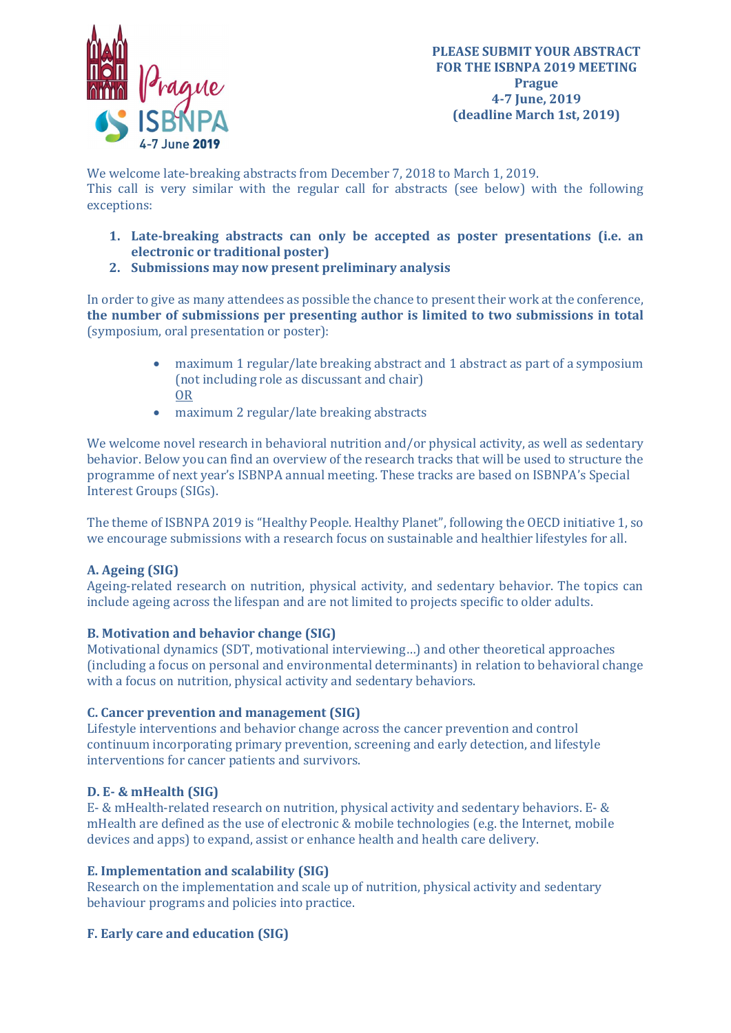

We welcome late-breaking abstracts from December 7, 2018 to March 1, 2019. This call is very similar with the regular call for abstracts (see below) with the following exceptions:

- 1. Late-breaking abstracts can only be accepted as poster presentations (i.e. an electronic or traditional poster)
- 2. Submissions may now present preliminary analysis

In order to give as many attendees as possible the chance to present their work at the conference, the number of submissions per presenting author is limited to two submissions in total (symposium, oral presentation or poster):

- maximum 1 regular/late breaking abstract and 1 abstract as part of a symposium (not including role as discussant and chair) OR
- maximum 2 regular/late breaking abstracts

We welcome novel research in behavioral nutrition and/or physical activity, as well as sedentary behavior. Below you can find an overview of the research tracks that will be used to structure the programme of next year's ISBNPA annual meeting. These tracks are based on ISBNPA's Special Interest Groups (SIGs).

The theme of ISBNPA 2019 is "Healthy People. Healthy Planet", following the OECD initiative 1, so we encourage submissions with a research focus on sustainable and healthier lifestyles for all.

# A. Ageing (SIG)

Ageing-related research on nutrition, physical activity, and sedentary behavior. The topics can include ageing across the lifespan and are not limited to projects specific to older adults.

### B. Motivation and behavior change (SIG)

Motivational dynamics (SDT, motivational interviewing…) and other theoretical approaches (including a focus on personal and environmental determinants) in relation to behavioral change with a focus on nutrition, physical activity and sedentary behaviors.

### C. Cancer prevention and management (SIG)

Lifestyle interventions and behavior change across the cancer prevention and control continuum incorporating primary prevention, screening and early detection, and lifestyle interventions for cancer patients and survivors.

### D. E- & mHealth (SIG)

E- & mHealth-related research on nutrition, physical activity and sedentary behaviors. E- & mHealth are defined as the use of electronic & mobile technologies (e.g. the Internet, mobile devices and apps) to expand, assist or enhance health and health care delivery.

### E. Implementation and scalability (SIG)

Research on the implementation and scale up of nutrition, physical activity and sedentary behaviour programs and policies into practice.

### F. Early care and education (SIG)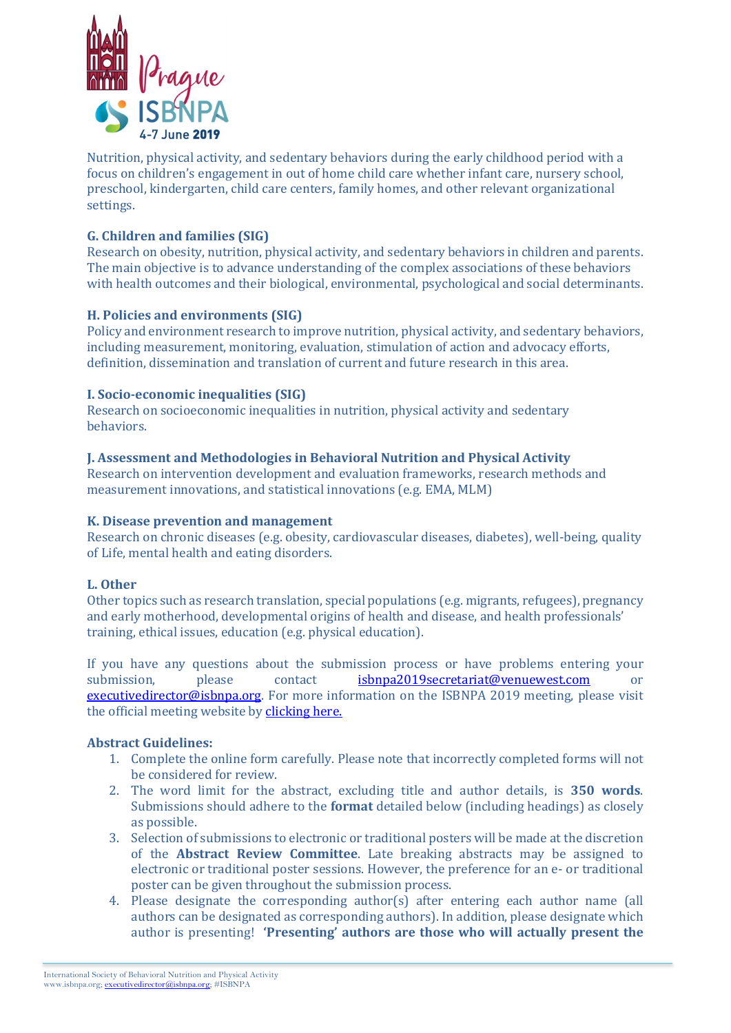

Nutrition, physical activity, and sedentary behaviors during the early childhood period with a focus on children's engagement in out of home child care whether infant care, nursery school, preschool, kindergarten, child care centers, family homes, and other relevant organizational settings.

## G. Children and families (SIG)

Research on obesity, nutrition, physical activity, and sedentary behaviors in children and parents. The main objective is to advance understanding of the complex associations of these behaviors with health outcomes and their biological, environmental, psychological and social determinants.

### H. Policies and environments (SIG)

Policy and environment research to improve nutrition, physical activity, and sedentary behaviors, including measurement, monitoring, evaluation, stimulation of action and advocacy efforts, definition, dissemination and translation of current and future research in this area.

### I. Socio-economic inequalities (SIG)

Research on socioeconomic inequalities in nutrition, physical activity and sedentary behaviors.

### J. Assessment and Methodologies in Behavioral Nutrition and Physical Activity

Research on intervention development and evaluation frameworks, research methods and measurement innovations, and statistical innovations (e.g. EMA, MLM)

#### K. Disease prevention and management

Research on chronic diseases (e.g. obesity, cardiovascular diseases, diabetes), well-being, quality of Life, mental health and eating disorders.

### L. Other

Other topics such as research translation, special populations (e.g. migrants, refugees), pregnancy and early motherhood, developmental origins of health and disease, and health professionals' training, ethical issues, education (e.g. physical education).

If you have any questions about the submission process or have problems entering your submission, please contact isbnpa2019secretariat@venuewest.com or executivedirector@isbnpa.org. For more information on the ISBNPA 2019 meeting, please visit the official meeting website by clicking here.

### Abstract Guidelines:

- 1. Complete the online form carefully. Please note that incorrectly completed forms will not be considered for review.
- 2. The word limit for the abstract, excluding title and author details, is 350 words. Submissions should adhere to the format detailed below (including headings) as closely as possible.
- 3. Selection of submissions to electronic or traditional posters will be made at the discretion of the Abstract Review Committee. Late breaking abstracts may be assigned to electronic or traditional poster sessions. However, the preference for an e- or traditional poster can be given throughout the submission process.
- 4. Please designate the corresponding author(s) after entering each author name (all authors can be designated as corresponding authors). In addition, please designate which author is presenting! 'Presenting' authors are those who will actually present the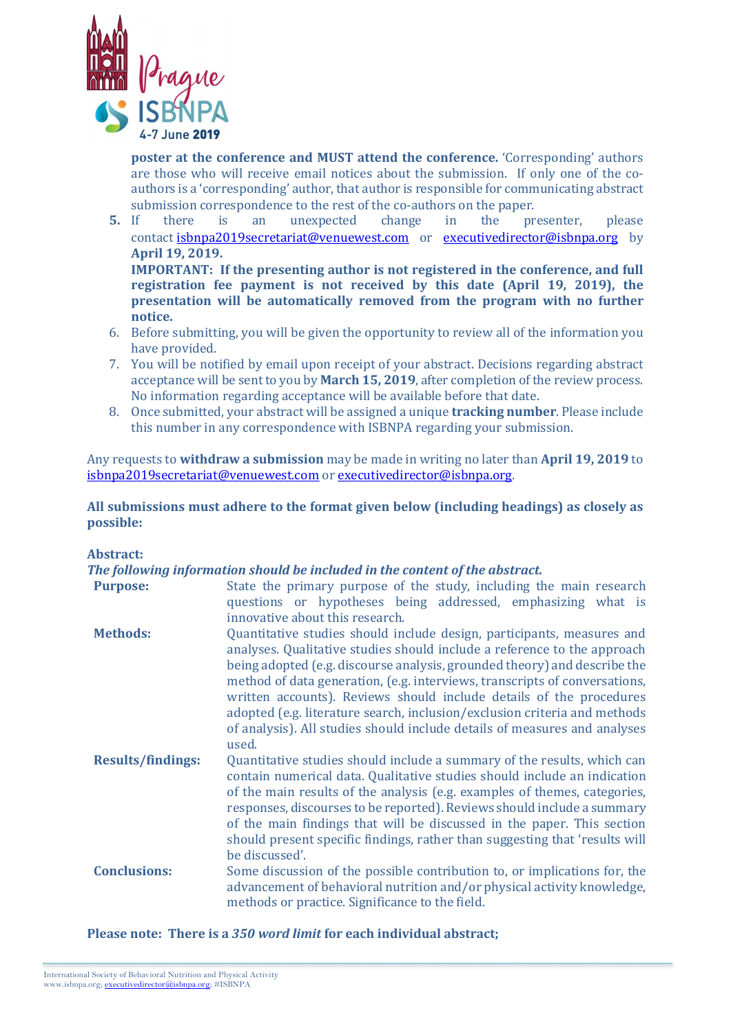![](_page_2_Picture_0.jpeg)

poster at the conference and MUST attend the conference. 'Corresponding' authors are those who will receive email notices about the submission. If only one of the coauthors is a 'corresponding' author, that author is responsible for communicating abstract submission correspondence to the rest of the co-authors on the paper.

5. If there is an unexpected change in the presenter, please contact isbnpa2019secretariat@venuewest.com or executivedirector@isbnpa.org by April 19, 2019.

IMPORTANT: If the presenting author is not registered in the conference, and full registration fee payment is not received by this date (April 19, 2019), the presentation will be automatically removed from the program with no further notice.

- 6. Before submitting, you will be given the opportunity to review all of the information you have provided.
- 7. You will be notified by email upon receipt of your abstract. Decisions regarding abstract acceptance will be sent to you by March 15, 2019, after completion of the review process. No information regarding acceptance will be available before that date.
- 8. Once submitted, your abstract will be assigned a unique tracking number. Please include this number in any correspondence with ISBNPA regarding your submission.

Any requests to **withdraw a submission** may be made in writing no later than **April 19, 2019** to isbnpa2019secretariat@venuewest.com or executivedirector@isbnpa.org.

All submissions must adhere to the format given below (including headings) as closely as possible:

Abstract:

The following information should be included in the content of the abstract.

| rne jonowing injormation bhoaia be memaca in the content of the abouract |                                                                                                                                                                                                                                                                                                                                                                                                                                                                                                                                                         |
|--------------------------------------------------------------------------|---------------------------------------------------------------------------------------------------------------------------------------------------------------------------------------------------------------------------------------------------------------------------------------------------------------------------------------------------------------------------------------------------------------------------------------------------------------------------------------------------------------------------------------------------------|
| <b>Purpose:</b>                                                          | State the primary purpose of the study, including the main research<br>questions or hypotheses being addressed, emphasizing what is<br>innovative about this research.                                                                                                                                                                                                                                                                                                                                                                                  |
| <b>Methods:</b>                                                          | Quantitative studies should include design, participants, measures and<br>analyses. Qualitative studies should include a reference to the approach<br>being adopted (e.g. discourse analysis, grounded theory) and describe the<br>method of data generation, (e.g. interviews, transcripts of conversations,<br>written accounts). Reviews should include details of the procedures<br>adopted (e.g. literature search, inclusion/exclusion criteria and methods<br>of analysis). All studies should include details of measures and analyses<br>used. |
| <b>Results/findings:</b>                                                 | Quantitative studies should include a summary of the results, which can<br>contain numerical data. Qualitative studies should include an indication<br>of the main results of the analysis (e.g. examples of themes, categories,<br>responses, discourses to be reported). Reviews should include a summary<br>of the main findings that will be discussed in the paper. This section<br>should present specific findings, rather than suggesting that 'results will<br>be discussed'.                                                                  |
| <b>Conclusions:</b>                                                      | Some discussion of the possible contribution to, or implications for, the<br>advancement of behavioral nutrition and/or physical activity knowledge,<br>methods or practice. Significance to the field.                                                                                                                                                                                                                                                                                                                                                 |

Please note: There is a 350 word limit for each individual abstract;